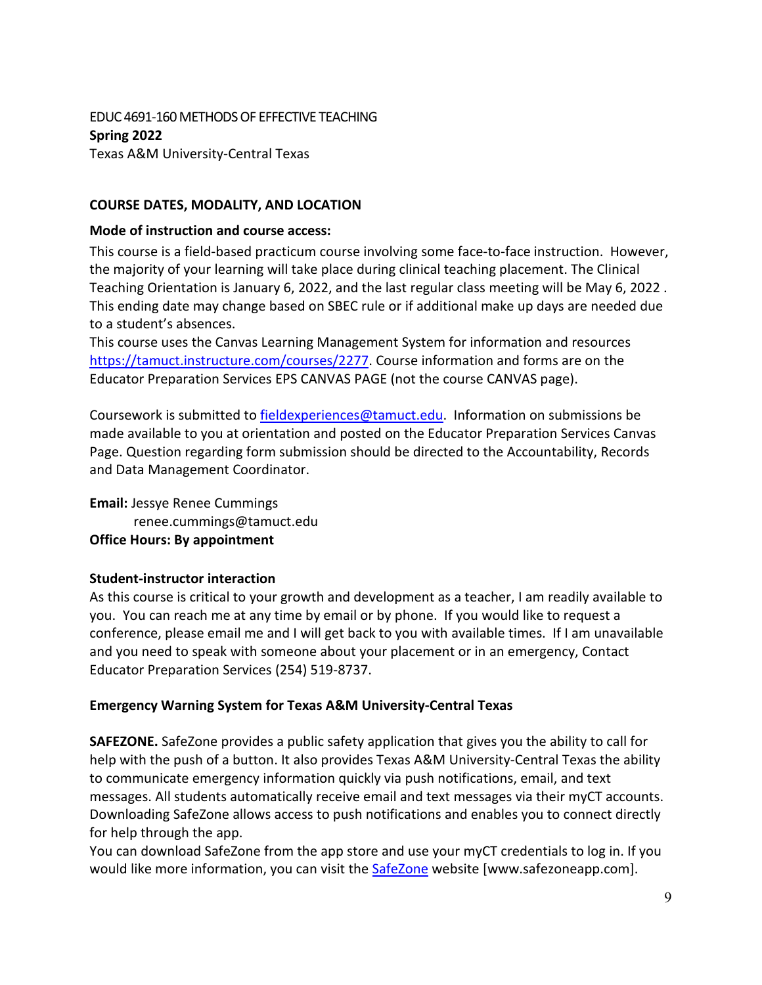### EDUC 4691-160 METHODS OF EFFECTIVE TEACHING **Spring 2022** Texas A&M University-Central Texas

### **COURSE DATES, MODALITY, AND LOCATION**

### **Mode of instruction and course access:**

This course is a field-based practicum course involving some face-to-face instruction. However, the majority of your learning will take place during clinical teaching placement. The Clinical Teaching Orientation is January 6, 2022, and the last regular class meeting will be May 6, 2022 . This ending date may change based on SBEC rule or if additional make up days are needed due to a student's absences.

This course uses the Canvas Learning Management System for information and resources [https://tamuct.instructure.com/courses/2277.](https://tamuct.instructure.com/courses/2277) Course information and forms are on the Educator Preparation Services EPS CANVAS PAGE (not the course CANVAS page).

Coursework is submitted to [fieldexperiences@tamuct.edu.](mailto:fieldexperiences@tamuct.edu) Information on submissions be made available to you at orientation and posted on the Educator Preparation Services Canvas Page. Question regarding form submission should be directed to the Accountability, Records and Data Management Coordinator.

**Email:** Jessye Renee Cummings renee.cummings@tamuct.edu **Office Hours: By appointment**

### **Student-instructor interaction**

As this course is critical to your growth and development as a teacher, I am readily available to you. You can reach me at any time by email or by phone. If you would like to request a conference, please email me and I will get back to you with available times. If I am unavailable and you need to speak with someone about your placement or in an emergency, Contact Educator Preparation Services (254) 519-8737.

### **Emergency Warning System for Texas A&M University-Central Texas**

**SAFEZONE.** SafeZone provides a public safety application that gives you the ability to call for help with the push of a button. It also provides Texas A&M University-Central Texas the ability to communicate emergency information quickly via push notifications, email, and text messages. All students automatically receive email and text messages via their myCT accounts. Downloading SafeZone allows access to push notifications and enables you to connect directly for help through the app.

You can download SafeZone from the app store and use your myCT credentials to log in. If you would like more information, you can visit the [SafeZone](https://nam04.safelinks.protection.outlook.com/?url=http%3A%2F%2Fwww.safezoneapp.com%2F&data=04%7C01%7Cjamie.blassingame%40tamuct.edu%7C2e20116c89ac48940f1e08d9c3ebc430%7C9eed4e3000f744849ff193ad8005acec%7C0%7C0%7C637756239664692974%7CUnknown%7CTWFpbGZsb3d8eyJWIjoiMC4wLjAwMDAiLCJQIjoiV2luMzIiLCJBTiI6Ik1haWwiLCJXVCI6Mn0%3D%7C3000&sdata=FSBLvpWR4l7xawlmHcflRJvDaJQN7UXrA0wNi%2F7fxzc%3D&reserved=0) website [www.safezoneapp.com].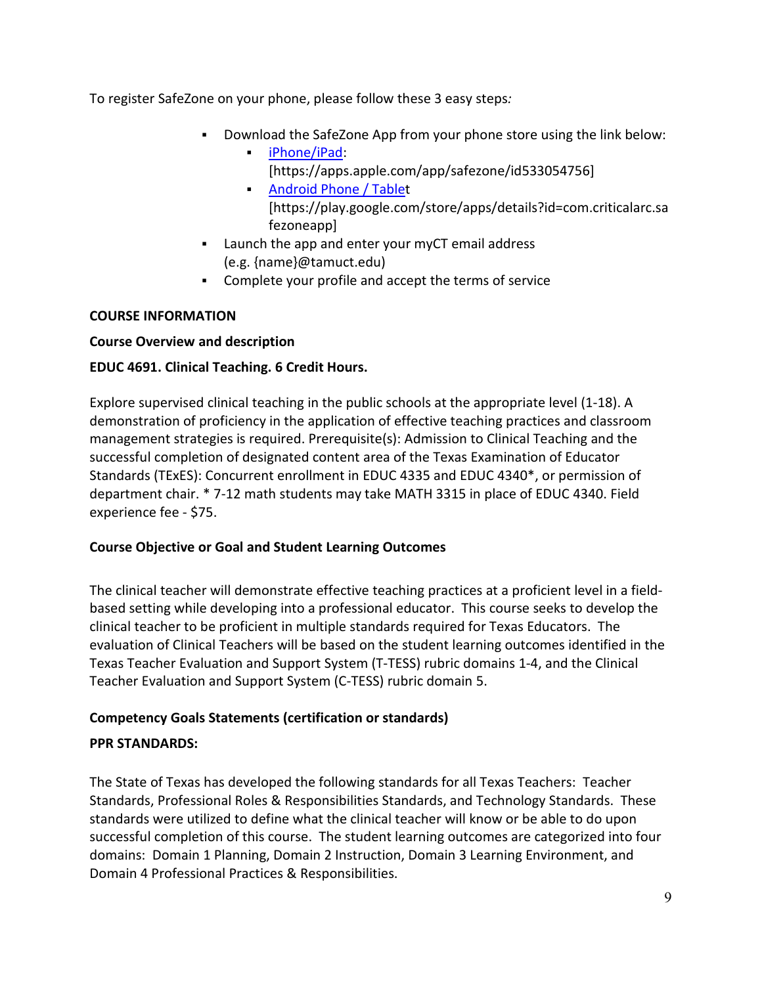To register SafeZone on your phone, please follow these 3 easy steps*:*

- Download the SafeZone App from your phone store using the link below:
	- [iPhone/iPad:](https://nam04.safelinks.protection.outlook.com/?url=https%3A%2F%2Fapps.apple.com%2Fapp%2Fsafezone%2Fid533054756&data=04%7C01%7Cjamie.blassingame%40tamuct.edu%7C2e20116c89ac48940f1e08d9c3ebc430%7C9eed4e3000f744849ff193ad8005acec%7C0%7C0%7C637756239664692974%7CUnknown%7CTWFpbGZsb3d8eyJWIjoiMC4wLjAwMDAiLCJQIjoiV2luMzIiLCJBTiI6Ik1haWwiLCJXVCI6Mn0%3D%7C3000&sdata=OkeBLVnqpo9DOAnALmMhd6IoTs2NU0%2B70yRdhu7b1wQ%3D&reserved=0) [https://apps.apple.com/app/safezone/id533054756]
		- **[Android](https://nam04.safelinks.protection.outlook.com/?url=https%3A%2F%2Fplay.google.com%2Fstore%2Fapps%2Fdetails%3Fid%3Dcom.criticalarc.safezoneapp&data=04%7C01%7Cjamie.blassingame%40tamuct.edu%7C2e20116c89ac48940f1e08d9c3ebc430%7C9eed4e3000f744849ff193ad8005acec%7C0%7C0%7C637756239664692974%7CUnknown%7CTWFpbGZsb3d8eyJWIjoiMC4wLjAwMDAiLCJQIjoiV2luMzIiLCJBTiI6Ik1haWwiLCJXVCI6Mn0%3D%7C3000&sdata=ViROyS3PDBMf8nmMcwIuf8wCwRBGTG%2BcAfZkcF%2FfdgM%3D&reserved=0) Phone / Tablet** [https://play.google.com/store/apps/details?id=com.criticalarc.sa fezoneapp]
- Launch the app and enter your myCT email address (e.g. {name}@tamuct.edu)
- Complete your profile and accept the terms of service

# **COURSE INFORMATION**

# **Course Overview and description**

# **EDUC 4691. Clinical Teaching. 6 Credit Hours.**

Explore supervised clinical teaching in the public schools at the appropriate level (1-18). A demonstration of proficiency in the application of effective teaching practices and classroom management strategies is required. Prerequisite(s): Admission to Clinical Teaching and the successful completion of designated content area of the Texas Examination of Educator Standards (TExES): Concurrent enrollment in EDUC 4335 and EDUC 4340\*, or permission of department chair. \* 7-12 math students may take MATH 3315 in place of EDUC 4340. Field experience fee - \$75.

# **Course Objective or Goal and Student Learning Outcomes**

The clinical teacher will demonstrate effective teaching practices at a proficient level in a fieldbased setting while developing into a professional educator. This course seeks to develop the clinical teacher to be proficient in multiple standards required for Texas Educators. The evaluation of Clinical Teachers will be based on the student learning outcomes identified in the Texas Teacher Evaluation and Support System (T-TESS) rubric domains 1-4, and the Clinical Teacher Evaluation and Support System (C-TESS) rubric domain 5.

# **Competency Goals Statements (certification or standards)**

# **PPR STANDARDS:**

The State of Texas has developed the following standards for all Texas Teachers: Teacher Standards, Professional Roles & Responsibilities Standards, and Technology Standards. These standards were utilized to define what the clinical teacher will know or be able to do upon successful completion of this course. The student learning outcomes are categorized into four domains: Domain 1 Planning, Domain 2 Instruction, Domain 3 Learning Environment, and Domain 4 Professional Practices & Responsibilities.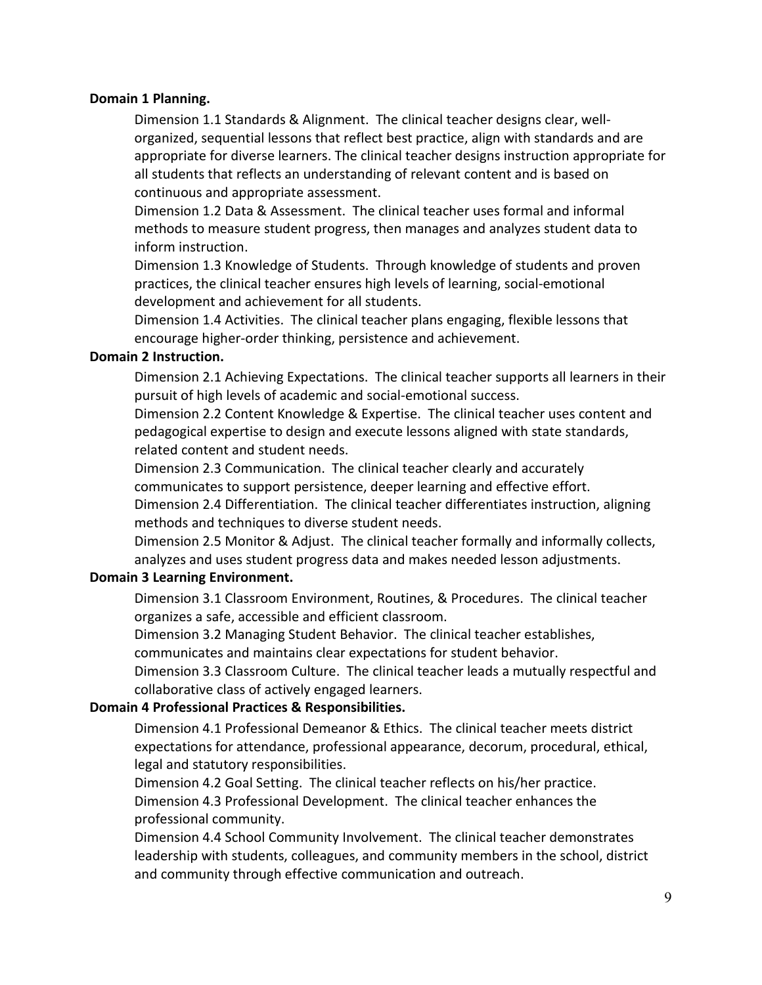### **Domain 1 Planning.**

Dimension 1.1 Standards & Alignment. The clinical teacher designs clear, wellorganized, sequential lessons that reflect best practice, align with standards and are appropriate for diverse learners. The clinical teacher designs instruction appropriate for all students that reflects an understanding of relevant content and is based on continuous and appropriate assessment.

Dimension 1.2 Data & Assessment. The clinical teacher uses formal and informal methods to measure student progress, then manages and analyzes student data to inform instruction.

Dimension 1.3 Knowledge of Students. Through knowledge of students and proven practices, the clinical teacher ensures high levels of learning, social-emotional development and achievement for all students.

Dimension 1.4 Activities. The clinical teacher plans engaging, flexible lessons that encourage higher-order thinking, persistence and achievement.

### **Domain 2 Instruction.**

Dimension 2.1 Achieving Expectations. The clinical teacher supports all learners in their pursuit of high levels of academic and social-emotional success.

Dimension 2.2 Content Knowledge & Expertise. The clinical teacher uses content and pedagogical expertise to design and execute lessons aligned with state standards, related content and student needs.

Dimension 2.3 Communication. The clinical teacher clearly and accurately

communicates to support persistence, deeper learning and effective effort.

Dimension 2.4 Differentiation. The clinical teacher differentiates instruction, aligning methods and techniques to diverse student needs.

Dimension 2.5 Monitor & Adjust. The clinical teacher formally and informally collects, analyzes and uses student progress data and makes needed lesson adjustments.

### **Domain 3 Learning Environment.**

Dimension 3.1 Classroom Environment, Routines, & Procedures. The clinical teacher organizes a safe, accessible and efficient classroom.

Dimension 3.2 Managing Student Behavior. The clinical teacher establishes, communicates and maintains clear expectations for student behavior.

Dimension 3.3 Classroom Culture. The clinical teacher leads a mutually respectful and collaborative class of actively engaged learners.

### **Domain 4 Professional Practices & Responsibilities.**

Dimension 4.1 Professional Demeanor & Ethics. The clinical teacher meets district expectations for attendance, professional appearance, decorum, procedural, ethical, legal and statutory responsibilities.

Dimension 4.2 Goal Setting. The clinical teacher reflects on his/her practice. Dimension 4.3 Professional Development. The clinical teacher enhances the professional community.

Dimension 4.4 School Community Involvement. The clinical teacher demonstrates leadership with students, colleagues, and community members in the school, district and community through effective communication and outreach.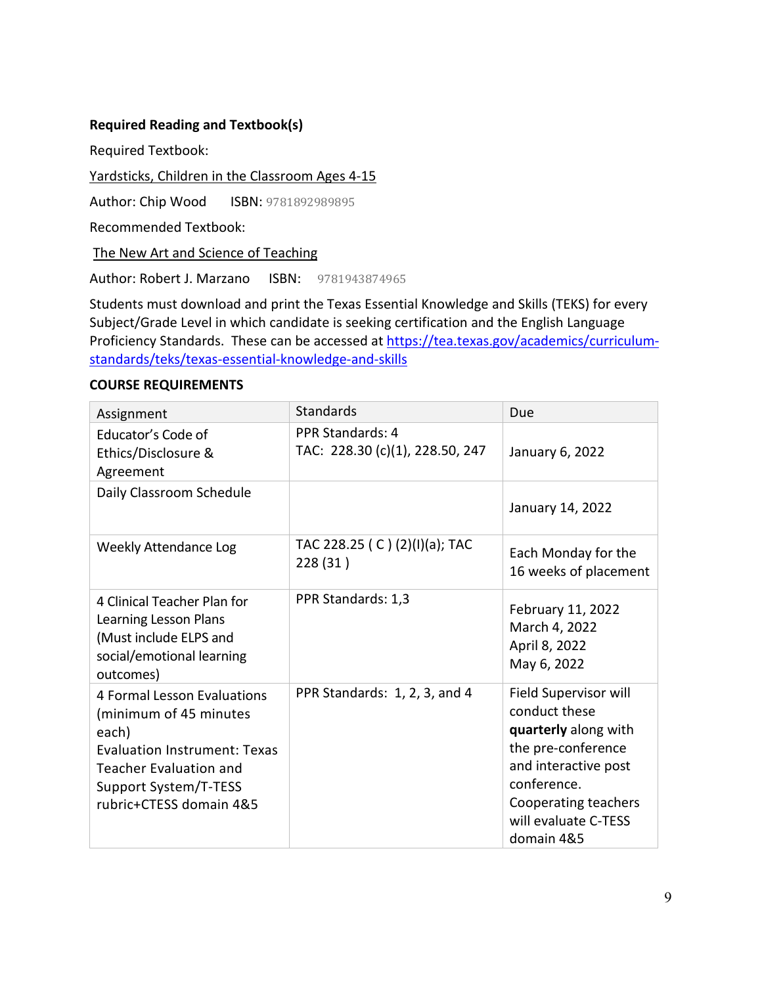### **Required Reading and Textbook(s)**

Required Textbook:

Yardsticks, Children in the Classroom Ages 4-15

Author: Chip Wood ISBN: 9781892989895

Recommended Textbook:

The New Art and Science of Teaching

Author: Robert J. Marzano ISBN: 9781943874965

Students must download and print the Texas Essential Knowledge and Skills (TEKS) for every Subject/Grade Level in which candidate is seeking certification and the English Language Proficiency Standards. These can be accessed at [https://tea.texas.gov/academics/curriculum](https://tea.texas.gov/academics/curriculum-standards/teks/texas-essential-knowledge-and-skills)[standards/teks/texas-essential-knowledge-and-skills](https://tea.texas.gov/academics/curriculum-standards/teks/texas-essential-knowledge-and-skills)

#### **COURSE REQUIREMENTS**

| Assignment                                                                                                                                                                                 | <b>Standards</b>                                           | Due                                                                                                                                                                                       |
|--------------------------------------------------------------------------------------------------------------------------------------------------------------------------------------------|------------------------------------------------------------|-------------------------------------------------------------------------------------------------------------------------------------------------------------------------------------------|
| Educator's Code of<br>Ethics/Disclosure &<br>Agreement                                                                                                                                     | <b>PPR Standards: 4</b><br>TAC: 228.30 (c)(1), 228.50, 247 | January 6, 2022                                                                                                                                                                           |
| Daily Classroom Schedule                                                                                                                                                                   |                                                            | January 14, 2022                                                                                                                                                                          |
| <b>Weekly Attendance Log</b>                                                                                                                                                               | TAC 228.25 ( C ) (2)(I)(a); TAC<br>228 (31)                | Each Monday for the<br>16 weeks of placement                                                                                                                                              |
| 4 Clinical Teacher Plan for<br>Learning Lesson Plans<br>(Must include ELPS and<br>social/emotional learning<br>outcomes)                                                                   | PPR Standards: 1,3                                         | February 11, 2022<br>March 4, 2022<br>April 8, 2022<br>May 6, 2022                                                                                                                        |
| 4 Formal Lesson Evaluations<br>(minimum of 45 minutes<br>each)<br><b>Evaluation Instrument: Texas</b><br><b>Teacher Evaluation and</b><br>Support System/T-TESS<br>rubric+CTESS domain 4&5 | PPR Standards: 1, 2, 3, and 4                              | Field Supervisor will<br>conduct these<br>quarterly along with<br>the pre-conference<br>and interactive post<br>conference.<br>Cooperating teachers<br>will evaluate C-TESS<br>domain 4&5 |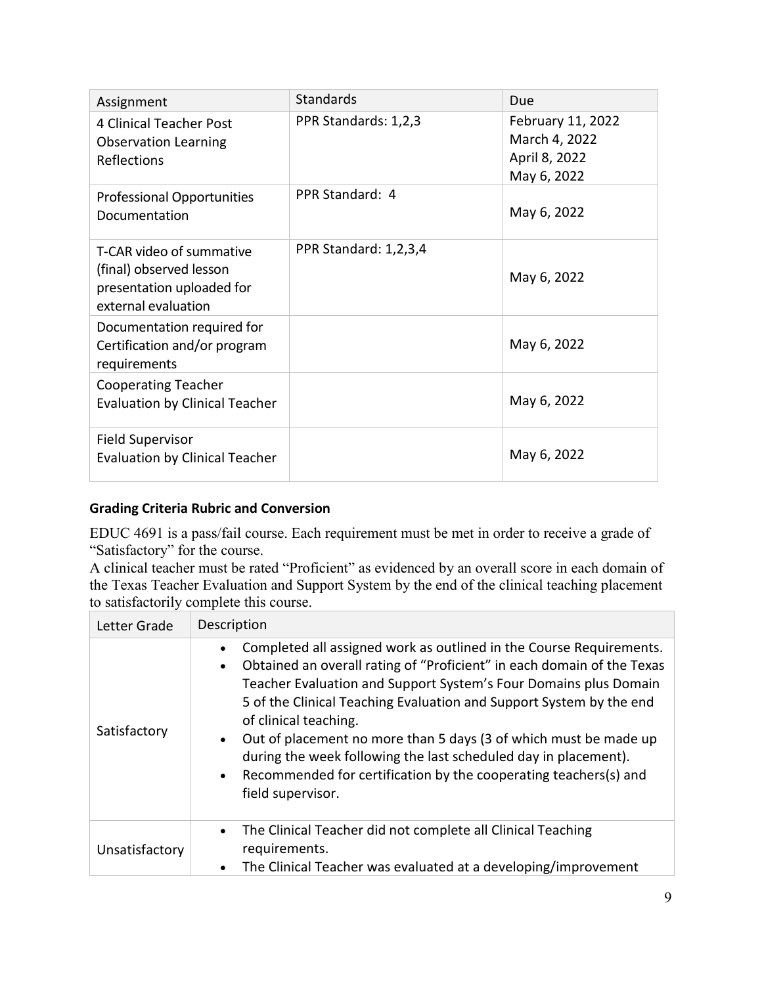| Assignment                                                                                              | <b>Standards</b>      | Due                                                                |
|---------------------------------------------------------------------------------------------------------|-----------------------|--------------------------------------------------------------------|
| <b>4 Clinical Teacher Post</b><br><b>Observation Learning</b><br>Reflections                            | PPR Standards: 1,2,3  | February 11, 2022<br>March 4, 2022<br>April 8, 2022<br>May 6, 2022 |
| <b>Professional Opportunities</b><br>Documentation                                                      | PPR Standard: 4       | May 6, 2022                                                        |
| T-CAR video of summative<br>(final) observed lesson<br>presentation uploaded for<br>external evaluation | PPR Standard: 1,2,3,4 | May 6, 2022                                                        |
| Documentation required for<br>Certification and/or program<br>requirements                              |                       | May 6, 2022                                                        |
| <b>Cooperating Teacher</b><br><b>Evaluation by Clinical Teacher</b>                                     |                       | May 6, 2022                                                        |
| <b>Field Supervisor</b><br><b>Evaluation by Clinical Teacher</b>                                        |                       | May 6, 2022                                                        |

# **Grading Criteria Rubric and Conversion**

EDUC 4691 is a pass/fail course. Each requirement must be met in order to receive a grade of "Satisfactory" for the course.

A clinical teacher must be rated "Proficient" as evidenced by an overall score in each domain of the Texas Teacher Evaluation and Support System by the end of the clinical teaching placement to satisfactorily complete this course.

| Letter Grade   | Description                                                                                                                                                                                                                                                                                                                                                                                                                                                                                                                                       |  |  |  |  |
|----------------|---------------------------------------------------------------------------------------------------------------------------------------------------------------------------------------------------------------------------------------------------------------------------------------------------------------------------------------------------------------------------------------------------------------------------------------------------------------------------------------------------------------------------------------------------|--|--|--|--|
| Satisfactory   | Completed all assigned work as outlined in the Course Requirements.<br>Obtained an overall rating of "Proficient" in each domain of the Texas<br>Teacher Evaluation and Support System's Four Domains plus Domain<br>5 of the Clinical Teaching Evaluation and Support System by the end<br>of clinical teaching.<br>Out of placement no more than 5 days (3 of which must be made up<br>during the week following the last scheduled day in placement).<br>Recommended for certification by the cooperating teachers(s) and<br>field supervisor. |  |  |  |  |
| Unsatisfactory | The Clinical Teacher did not complete all Clinical Teaching<br>$\bullet$<br>requirements.<br>The Clinical Teacher was evaluated at a developing/improvement                                                                                                                                                                                                                                                                                                                                                                                       |  |  |  |  |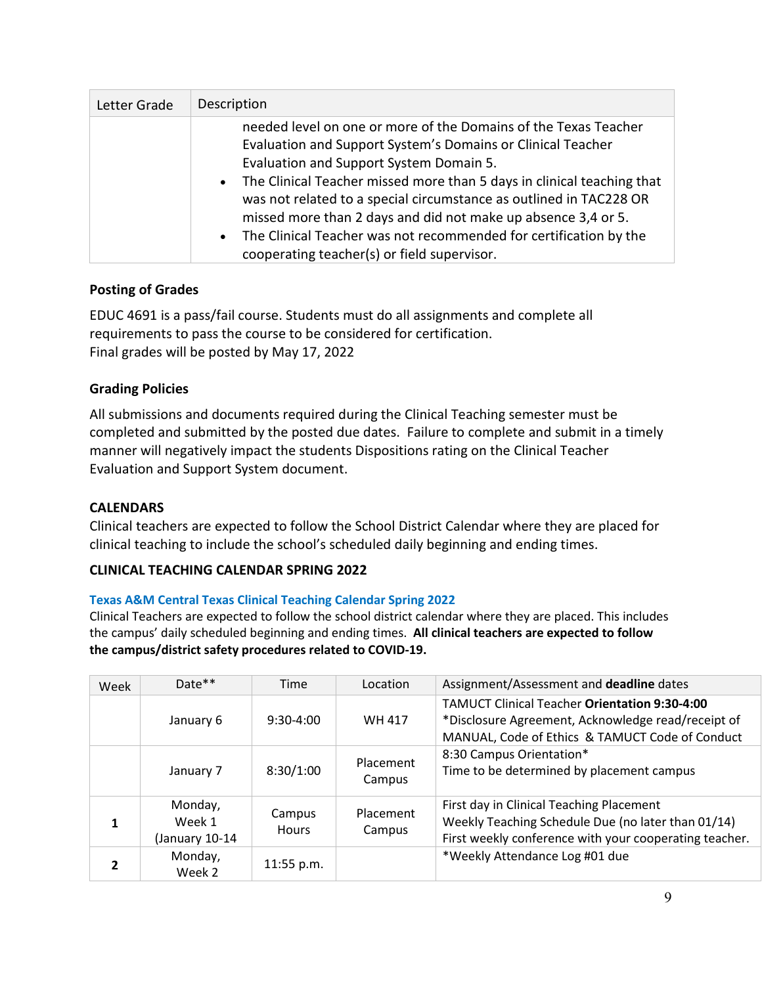| Letter Grade | Description                                                                                                                                                                                                                                                                                                                                                                                                                                                                                                        |
|--------------|--------------------------------------------------------------------------------------------------------------------------------------------------------------------------------------------------------------------------------------------------------------------------------------------------------------------------------------------------------------------------------------------------------------------------------------------------------------------------------------------------------------------|
|              | needed level on one or more of the Domains of the Texas Teacher<br>Evaluation and Support System's Domains or Clinical Teacher<br>Evaluation and Support System Domain 5.<br>• The Clinical Teacher missed more than 5 days in clinical teaching that<br>was not related to a special circumstance as outlined in TAC228 OR<br>missed more than 2 days and did not make up absence 3,4 or 5.<br>• The Clinical Teacher was not recommended for certification by the<br>cooperating teacher(s) or field supervisor. |

## **Posting of Grades**

EDUC 4691 is a pass/fail course. Students must do all assignments and complete all requirements to pass the course to be considered for certification. Final grades will be posted by May 17, 2022

# **Grading Policies**

All submissions and documents required during the Clinical Teaching semester must be completed and submitted by the posted due dates. Failure to complete and submit in a timely manner will negatively impact the students Dispositions rating on the Clinical Teacher Evaluation and Support System document.

## **CALENDARS**

Clinical teachers are expected to follow the School District Calendar where they are placed for clinical teaching to include the school's scheduled daily beginning and ending times.

## **CLINICAL TEACHING CALENDAR SPRING 2022**

## **Texas A&M Central Texas Clinical Teaching Calendar Spring 2022**

Clinical Teachers are expected to follow the school district calendar where they are placed. This includes the campus' daily scheduled beginning and ending times. **All clinical teachers are expected to follow the campus/district safety procedures related to COVID-19.** 

| Week | $Date**$                            | Time                   | Location            | Assignment/Assessment and deadline dates                                                                                                                      |
|------|-------------------------------------|------------------------|---------------------|---------------------------------------------------------------------------------------------------------------------------------------------------------------|
|      | January 6                           | $9:30-4:00$            | WH 417              | <b>TAMUCT Clinical Teacher Orientation 9:30-4:00</b><br>*Disclosure Agreement, Acknowledge read/receipt of<br>MANUAL, Code of Ethics & TAMUCT Code of Conduct |
|      | January 7                           | 8:30/1:00              | Placement<br>Campus | 8:30 Campus Orientation*<br>Time to be determined by placement campus                                                                                         |
| 1    | Monday,<br>Week 1<br>(January 10-14 | Campus<br><b>Hours</b> | Placement<br>Campus | First day in Clinical Teaching Placement<br>Weekly Teaching Schedule Due (no later than 01/14)<br>First weekly conference with your cooperating teacher.      |
|      | Monday,<br>Week 2                   | $11:55$ p.m.           |                     | *Weekly Attendance Log #01 due                                                                                                                                |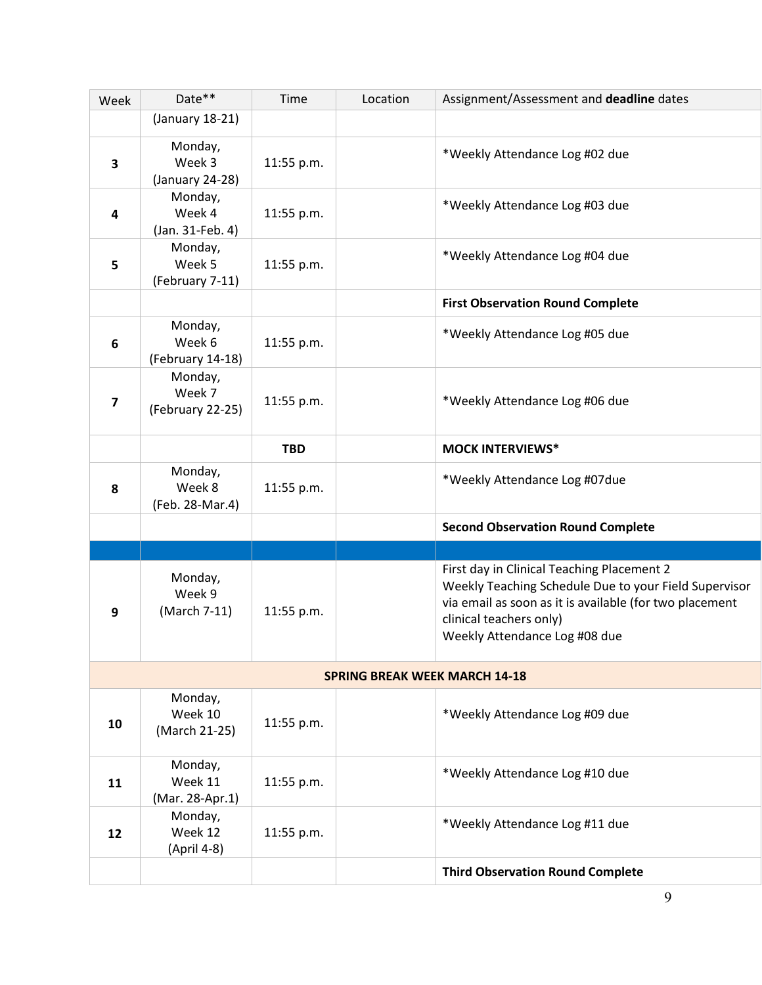| Week                    | Date**                                | Time       | Location                             | Assignment/Assessment and deadline dates                                                                                                                                                                                   |
|-------------------------|---------------------------------------|------------|--------------------------------------|----------------------------------------------------------------------------------------------------------------------------------------------------------------------------------------------------------------------------|
|                         | (January 18-21)                       |            |                                      |                                                                                                                                                                                                                            |
| $\overline{\mathbf{3}}$ | Monday,<br>Week 3<br>(January 24-28)  | 11:55 p.m. |                                      | *Weekly Attendance Log #02 due                                                                                                                                                                                             |
| 4                       | Monday,<br>Week 4<br>(Jan. 31-Feb. 4) | 11:55 p.m. |                                      | *Weekly Attendance Log #03 due                                                                                                                                                                                             |
| 5                       | Monday,<br>Week 5<br>(February 7-11)  | 11:55 p.m. |                                      | *Weekly Attendance Log #04 due                                                                                                                                                                                             |
|                         |                                       |            |                                      | <b>First Observation Round Complete</b>                                                                                                                                                                                    |
| 6                       | Monday,<br>Week 6<br>(February 14-18) | 11:55 p.m. |                                      | *Weekly Attendance Log #05 due                                                                                                                                                                                             |
| 7                       | Monday,<br>Week 7<br>(February 22-25) | 11:55 p.m. |                                      | *Weekly Attendance Log #06 due                                                                                                                                                                                             |
|                         |                                       | <b>TBD</b> |                                      | <b>MOCK INTERVIEWS*</b>                                                                                                                                                                                                    |
| 8                       | Monday,<br>Week 8<br>(Feb. 28-Mar.4)  | 11:55 p.m. |                                      | *Weekly Attendance Log #07due                                                                                                                                                                                              |
|                         |                                       |            |                                      | <b>Second Observation Round Complete</b>                                                                                                                                                                                   |
|                         |                                       |            |                                      |                                                                                                                                                                                                                            |
| 9                       | Monday,<br>Week 9<br>(March 7-11)     | 11:55 p.m. |                                      | First day in Clinical Teaching Placement 2<br>Weekly Teaching Schedule Due to your Field Supervisor<br>via email as soon as it is available (for two placement<br>clinical teachers only)<br>Weekly Attendance Log #08 due |
|                         |                                       |            | <b>SPRING BREAK WEEK MARCH 14-18</b> |                                                                                                                                                                                                                            |
| 10                      | Monday,<br>Week 10<br>(March 21-25)   | 11:55 p.m. |                                      | *Weekly Attendance Log #09 due                                                                                                                                                                                             |
| 11                      | Monday,<br>Week 11<br>(Mar. 28-Apr.1) | 11:55 p.m. |                                      | *Weekly Attendance Log #10 due                                                                                                                                                                                             |
| 12                      | Monday,<br>Week 12<br>(April 4-8)     | 11:55 p.m. |                                      | *Weekly Attendance Log #11 due                                                                                                                                                                                             |
|                         |                                       |            |                                      | <b>Third Observation Round Complete</b>                                                                                                                                                                                    |
|                         |                                       |            |                                      | 9                                                                                                                                                                                                                          |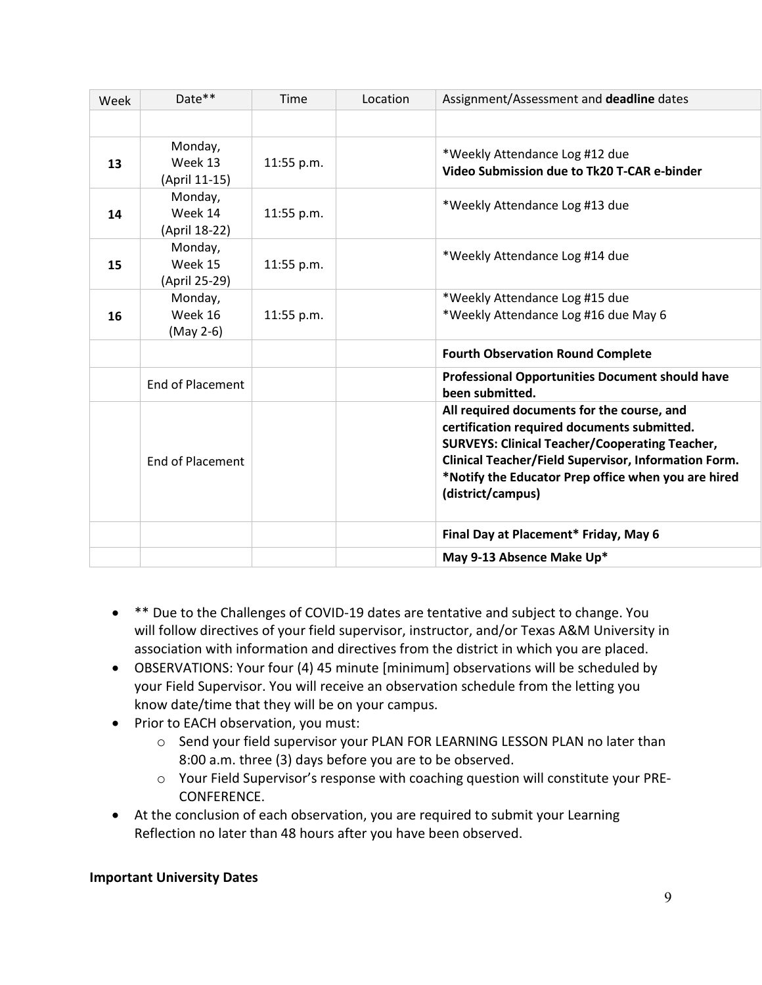| Week | Date**                              | <b>Time</b> | Location | Assignment/Assessment and deadline dates                                                                                                                                                                                                                                               |
|------|-------------------------------------|-------------|----------|----------------------------------------------------------------------------------------------------------------------------------------------------------------------------------------------------------------------------------------------------------------------------------------|
|      |                                     |             |          |                                                                                                                                                                                                                                                                                        |
| 13   | Monday,<br>Week 13<br>(April 11-15) | 11:55 p.m.  |          | *Weekly Attendance Log #12 due<br>Video Submission due to Tk20 T-CAR e-binder                                                                                                                                                                                                          |
| 14   | Monday,<br>Week 14<br>(April 18-22) | 11:55 p.m.  |          | *Weekly Attendance Log #13 due                                                                                                                                                                                                                                                         |
| 15   | Monday,<br>Week 15<br>(April 25-29) | 11:55 p.m.  |          | *Weekly Attendance Log #14 due                                                                                                                                                                                                                                                         |
| 16   | Monday,<br>Week 16<br>(May 2-6)     | 11:55 p.m.  |          | *Weekly Attendance Log #15 due<br>*Weekly Attendance Log #16 due May 6                                                                                                                                                                                                                 |
|      |                                     |             |          | <b>Fourth Observation Round Complete</b>                                                                                                                                                                                                                                               |
|      | <b>End of Placement</b>             |             |          | <b>Professional Opportunities Document should have</b><br>been submitted.                                                                                                                                                                                                              |
|      | <b>End of Placement</b>             |             |          | All required documents for the course, and<br>certification required documents submitted.<br><b>SURVEYS: Clinical Teacher/Cooperating Teacher,</b><br>Clinical Teacher/Field Supervisor, Information Form.<br>*Notify the Educator Prep office when you are hired<br>(district/campus) |
|      |                                     |             |          | Final Day at Placement* Friday, May 6                                                                                                                                                                                                                                                  |
|      |                                     |             |          | May 9-13 Absence Make Up*                                                                                                                                                                                                                                                              |

- $*$  Due to the Challenges of COVID-19 dates are tentative and subject to change. You will follow directives of your field supervisor, instructor, and/or Texas A&M University in association with information and directives from the district in which you are placed.
- OBSERVATIONS: Your four (4) 45 minute [minimum] observations will be scheduled by your Field Supervisor. You will receive an observation schedule from the letting you know date/time that they will be on your campus.
- Prior to EACH observation, you must:
	- o Send your field supervisor your PLAN FOR LEARNING LESSON PLAN no later than 8:00 a.m. three (3) days before you are to be observed.
	- o Your Field Supervisor's response with coaching question will constitute your PRE-CONFERENCE.
- At the conclusion of each observation, you are required to submit your Learning Reflection no later than 48 hours after you have been observed.

# **Important University Dates**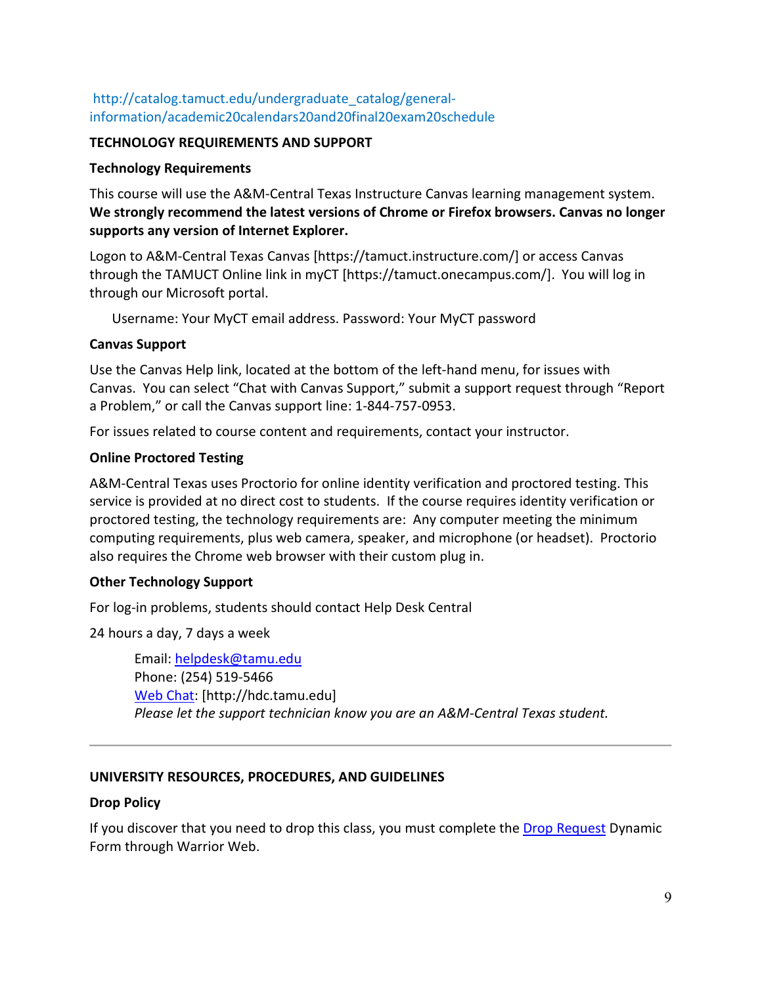# http://catalog.tamuct.edu/undergraduate\_catalog/generalinformation/academic20calendars20and20final20exam20schedule

### **TECHNOLOGY REQUIREMENTS AND SUPPORT**

### **Technology Requirements**

This course will use the A&M-Central Texas Instructure Canvas learning management system. **We strongly recommend the latest versions of Chrome or Firefox browsers. Canvas no longer supports any version of Internet Explorer.**

Logon to A&M-Central Texas Canvas [https://tamuct.instructure.com/] or access Canvas through the TAMUCT Online link in myCT [https://tamuct.onecampus.com/]. You will log in through our Microsoft portal.

Username: Your MyCT email address. Password: Your MyCT password

### **Canvas Support**

Use the Canvas Help link, located at the bottom of the left-hand menu, for issues with Canvas. You can select "Chat with Canvas Support," submit a support request through "Report a Problem," or call the Canvas support line: 1-844-757-0953.

For issues related to course content and requirements, contact your instructor.

### **Online Proctored Testing**

A&M-Central Texas uses Proctorio for online identity verification and proctored testing. This service is provided at no direct cost to students. If the course requires identity verification or proctored testing, the technology requirements are: Any computer meeting the minimum computing requirements, plus web camera, speaker, and microphone (or headset). Proctorio also requires the Chrome web browser with their custom plug in.

## **Other Technology Support**

For log-in problems, students should contact Help Desk Central

24 hours a day, 7 days a week

Email: [helpdesk@tamu.edu](mailto:helpdesk@tamu.edu) Phone: (254) 519-5466 [Web Chat:](http://hdc.tamu.edu/) [http://hdc.tamu.edu] *Please let the support technician know you are an A&M-Central Texas student.*

## **UNIVERSITY RESOURCES, PROCEDURES, AND GUIDELINES**

### **Drop Policy**

If you discover that you need to drop this class, you must complete the [Drop Request](https://dynamicforms.ngwebsolutions.com/casAuthentication.ashx?InstID=eaed95b9-f2be-45f3-a37d-46928168bc10&targetUrl=https%3A%2F%2Fdynamicforms.ngwebsolutions.com%2FSubmit%2FForm%2FStart%2F53b8369e-0502-4f36-be43-f02a4202f612) Dynamic Form through Warrior Web.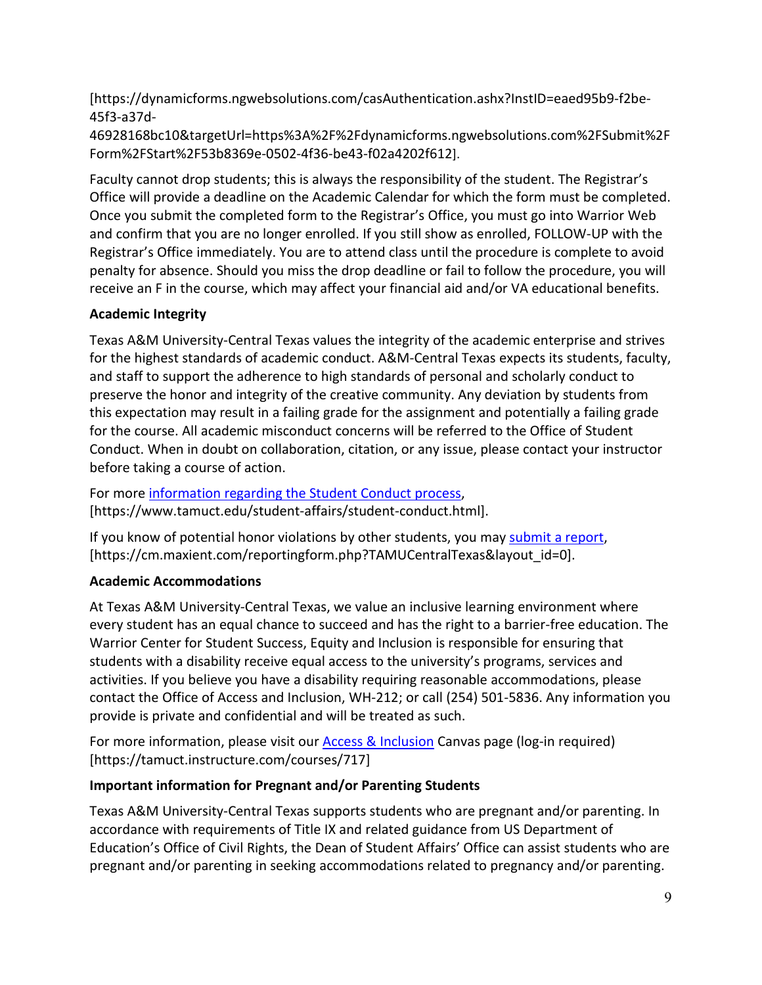[https://dynamicforms.ngwebsolutions.com/casAuthentication.ashx?InstID=eaed95b9-f2be-45f3-a37d-

46928168bc10&targetUrl=https%3A%2F%2Fdynamicforms.ngwebsolutions.com%2FSubmit%2F Form%2FStart%2F53b8369e-0502-4f36-be43-f02a4202f612].

Faculty cannot drop students; this is always the responsibility of the student. The Registrar's Office will provide a deadline on the Academic Calendar for which the form must be completed. Once you submit the completed form to the Registrar's Office, you must go into Warrior Web and confirm that you are no longer enrolled. If you still show as enrolled, FOLLOW-UP with the Registrar's Office immediately. You are to attend class until the procedure is complete to avoid penalty for absence. Should you miss the drop deadline or fail to follow the procedure, you will receive an F in the course, which may affect your financial aid and/or VA educational benefits.

# **Academic Integrity**

Texas A&M University-Central Texas values the integrity of the academic enterprise and strives for the highest standards of academic conduct. A&M-Central Texas expects its students, faculty, and staff to support the adherence to high standards of personal and scholarly conduct to preserve the honor and integrity of the creative community. Any deviation by students from this expectation may result in a failing grade for the assignment and potentially a failing grade for the course. All academic misconduct concerns will be referred to the Office of Student Conduct. When in doubt on collaboration, citation, or any issue, please contact your instructor before taking a course of action.

For more [information](https://nam04.safelinks.protection.outlook.com/?url=https%3A%2F%2Fwww.tamuct.edu%2Fstudent-affairs%2Fstudent-conduct.html&data=04%7C01%7Clisa.bunkowski%40tamuct.edu%7Ccfb6e486f24745f53e1a08d910055cb2%7C9eed4e3000f744849ff193ad8005acec%7C0%7C0%7C637558437485252160%7CUnknown%7CTWFpbGZsb3d8eyJWIjoiMC4wLjAwMDAiLCJQIjoiV2luMzIiLCJBTiI6Ik1haWwiLCJXVCI6Mn0%3D%7C1000&sdata=yjftDEVHvLX%2FhM%2FcFU0B99krV1RgEWR%2BJ%2BhvtoR6TYk%3D&reserved=0) regarding the Student Conduct process, [https://www.tamuct.edu/student-affairs/student-conduct.html].

If you know of potential honor violations by other students, you may [submit](https://nam04.safelinks.protection.outlook.com/?url=https%3A%2F%2Fcm.maxient.com%2Freportingform.php%3FTAMUCentralTexas%26layout_id%3D0&data=04%7C01%7Clisa.bunkowski%40tamuct.edu%7Ccfb6e486f24745f53e1a08d910055cb2%7C9eed4e3000f744849ff193ad8005acec%7C0%7C0%7C637558437485262157%7CUnknown%7CTWFpbGZsb3d8eyJWIjoiMC4wLjAwMDAiLCJQIjoiV2luMzIiLCJBTiI6Ik1haWwiLCJXVCI6Mn0%3D%7C1000&sdata=CXGkOa6uPDPX1IMZ87z3aZDq2n91xfHKu4MMS43Ejjk%3D&reserved=0) a report, [https://cm.maxient.com/reportingform.php?TAMUCentralTexas&layout\_id=0].

# **Academic Accommodations**

At Texas A&M University-Central Texas, we value an inclusive learning environment where every student has an equal chance to succeed and has the right to a barrier-free education. The Warrior Center for Student Success, Equity and Inclusion is responsible for ensuring that students with a disability receive equal access to the university's programs, services and activities. If you believe you have a disability requiring reasonable accommodations, please contact the Office of Access and Inclusion, WH-212; or call (254) 501-5836. Any information you provide is private and confidential and will be treated as such.

For more information, please visit our [Access & Inclusion](https://tamuct.instructure.com/courses/717) Canvas page (log-in required) [https://tamuct.instructure.com/courses/717]

# **Important information for Pregnant and/or Parenting Students**

Texas A&M University-Central Texas supports students who are pregnant and/or parenting. In accordance with requirements of Title IX and related guidance from US Department of Education's Office of Civil Rights, the Dean of Student Affairs' Office can assist students who are pregnant and/or parenting in seeking accommodations related to pregnancy and/or parenting.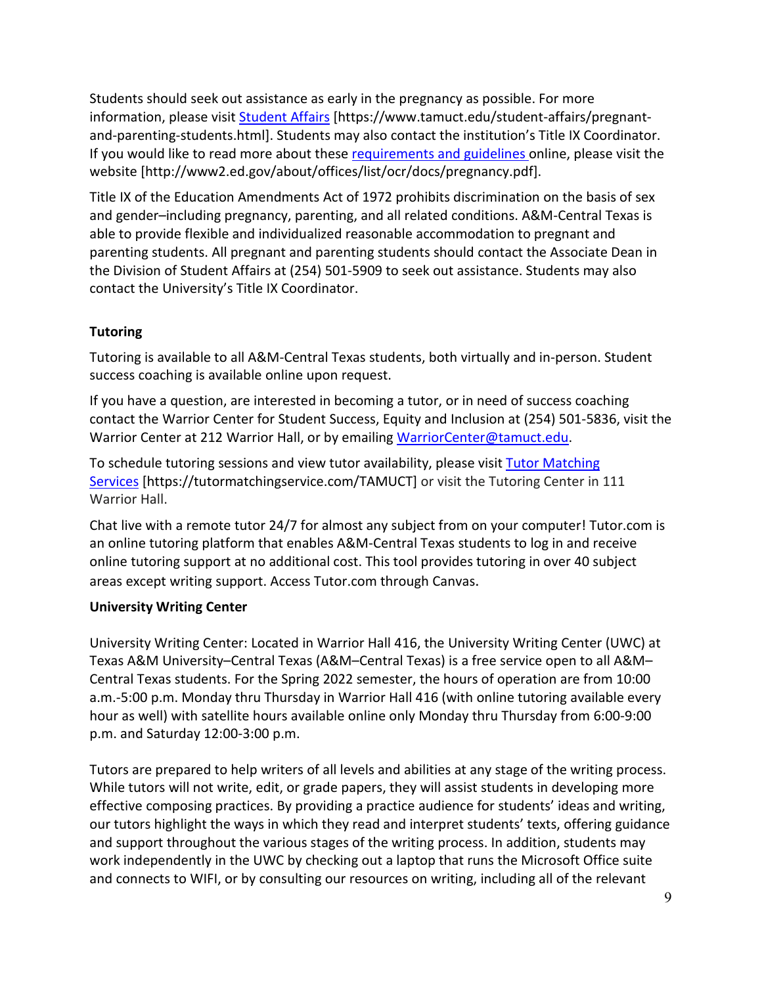Students should seek out assistance as early in the pregnancy as possible. For more information, please visit [Student Affairs](https://www.tamuct.edu/student-affairs/pregnant-and-parenting-students.html) [https://www.tamuct.edu/student-affairs/pregnantand-parenting-students.html]. Students may also contact the institution's Title IX Coordinator. If you would like to read more about thes[e requirements and guidelines](http://www2.ed.gov/about/offices/list/ocr/docs/pregnancy.pdf) online, please visit the website [http://www2.ed.gov/about/offices/list/ocr/docs/pregnancy.pdf].

Title IX of the Education Amendments Act of 1972 prohibits discrimination on the basis of sex and gender–including pregnancy, parenting, and all related conditions. A&M-Central Texas is able to provide flexible and individualized reasonable accommodation to pregnant and parenting students. All pregnant and parenting students should contact the Associate Dean in the Division of Student Affairs at (254) 501-5909 to seek out assistance. Students may also contact the University's Title IX Coordinator.

# **Tutoring**

Tutoring is available to all A&M-Central Texas students, both virtually and in-person. Student success coaching is available online upon request.

If you have a question, are interested in becoming a tutor, or in need of success coaching contact the Warrior Center for Student Success, Equity and Inclusion at (254) 501-5836, visit the Warrior Center at 212 Warrior Hall, or by emailing [WarriorCenter@tamuct.edu.](mailto:WarriorCenter@tamuct.edu)

To schedule tutoring sessions and view tutor availability, please visit Tutor [Matching](https://nam04.safelinks.protection.outlook.com/?url=http%3A%2F%2Fwww.tutormatchingservices.com%2FTAMUCT&data=04%7C01%7Clisa.bunkowski%40tamuct.edu%7C886784139069461670c308d9aa01f55e%7C9eed4e3000f744849ff193ad8005acec%7C0%7C0%7C637727747643427346%7CUnknown%7CTWFpbGZsb3d8eyJWIjoiMC4wLjAwMDAiLCJQIjoiV2luMzIiLCJBTiI6Ik1haWwiLCJXVCI6Mn0%3D%7C3000&sdata=D%2F8HN2bUT1lLPfs5qSqKYlwh8a7pZVy7isM2gppluQE%3D&reserved=0) [Services](https://nam04.safelinks.protection.outlook.com/?url=http%3A%2F%2Fwww.tutormatchingservices.com%2FTAMUCT&data=04%7C01%7Clisa.bunkowski%40tamuct.edu%7C886784139069461670c308d9aa01f55e%7C9eed4e3000f744849ff193ad8005acec%7C0%7C0%7C637727747643427346%7CUnknown%7CTWFpbGZsb3d8eyJWIjoiMC4wLjAwMDAiLCJQIjoiV2luMzIiLCJBTiI6Ik1haWwiLCJXVCI6Mn0%3D%7C3000&sdata=D%2F8HN2bUT1lLPfs5qSqKYlwh8a7pZVy7isM2gppluQE%3D&reserved=0) [https://tutormatchingservice.com/TAMUCT] or visit the Tutoring Center in 111 Warrior Hall.

Chat live with a remote tutor 24/7 for almost any subject from on your computer! Tutor.com is an online tutoring platform that enables A&M-Central Texas students to log in and receive online tutoring support at no additional cost. This tool provides tutoring in over 40 subject areas except writing support. Access Tutor.com through Canvas.

## **University Writing Center**

University Writing Center: Located in Warrior Hall 416, the University Writing Center (UWC) at Texas A&M University–Central Texas (A&M–Central Texas) is a free service open to all A&M– Central Texas students. For the Spring 2022 semester, the hours of operation are from 10:00 a.m.-5:00 p.m. Monday thru Thursday in Warrior Hall 416 (with online tutoring available every hour as well) with satellite hours available online only Monday thru Thursday from 6:00-9:00 p.m. and Saturday 12:00-3:00 p.m.

Tutors are prepared to help writers of all levels and abilities at any stage of the writing process. While tutors will not write, edit, or grade papers, they will assist students in developing more effective composing practices. By providing a practice audience for students' ideas and writing, our tutors highlight the ways in which they read and interpret students' texts, offering guidance and support throughout the various stages of the writing process. In addition, students may work independently in the UWC by checking out a laptop that runs the Microsoft Office suite and connects to WIFI, or by consulting our resources on writing, including all of the relevant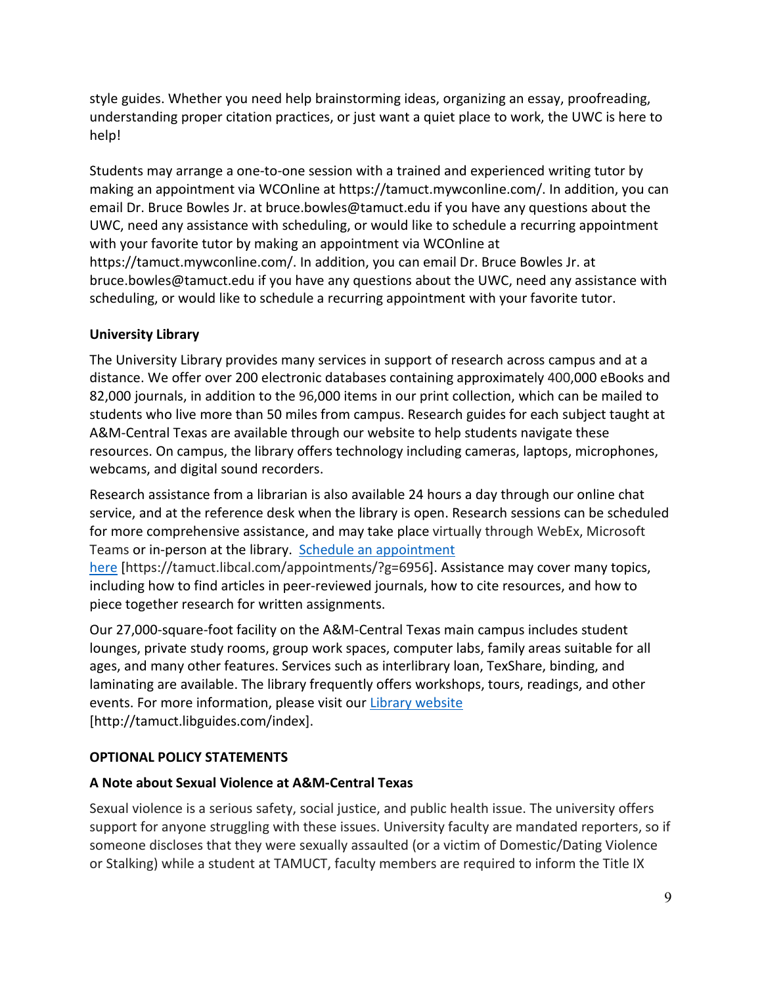style guides. Whether you need help brainstorming ideas, organizing an essay, proofreading, understanding proper citation practices, or just want a quiet place to work, the UWC is here to help!

Students may arrange a one-to-one session with a trained and experienced writing tutor by making an appointment via WCOnline at https://tamuct.mywconline.com/. In addition, you can email Dr. Bruce Bowles Jr. at bruce.bowles@tamuct.edu if you have any questions about the UWC, need any assistance with scheduling, or would like to schedule a recurring appointment with your favorite tutor by making an appointment via WCOnline at https://tamuct.mywconline.com/. In addition, you can email Dr. Bruce Bowles Jr. at bruce.bowles@tamuct.edu if you have any questions about the UWC, need any assistance with

scheduling, or would like to schedule a recurring appointment with your favorite tutor.

## **University Library**

The University Library provides many services in support of research across campus and at a distance. We offer over 200 electronic databases containing approximately 400,000 eBooks and 82,000 journals, in addition to the 96,000 items in our print collection, which can be mailed to students who live more than 50 miles from campus. Research guides for each subject taught at A&M-Central Texas are available through our website to help students navigate these resources. On campus, the library offers technology including cameras, laptops, microphones, webcams, and digital sound recorders.

Research assistance from a librarian is also available 24 hours a day through our online chat service, and at the reference desk when the library is open. Research sessions can be scheduled for more comprehensive assistance, and may take place virtually through WebEx, Microsoft Teams or in-person at the library. Schedule an [appointment](https://nam04.safelinks.protection.outlook.com/?url=https%3A%2F%2Ftamuct.libcal.com%2Fappointments%2F%3Fg%3D6956&data=04%7C01%7Clisa.bunkowski%40tamuct.edu%7Cde2c07d9f5804f09518008d9ab7ba6ff%7C9eed4e3000f744849ff193ad8005acec%7C0%7C0%7C637729369835011558%7CUnknown%7CTWFpbGZsb3d8eyJWIjoiMC4wLjAwMDAiLCJQIjoiV2luMzIiLCJBTiI6Ik1haWwiLCJXVCI6Mn0%3D%7C3000&sdata=KhtjgRSAw9aq%2FoBsB6wyu8b7PSuGN5EGPypzr3Ty2No%3D&reserved=0)

[here](https://nam04.safelinks.protection.outlook.com/?url=https%3A%2F%2Ftamuct.libcal.com%2Fappointments%2F%3Fg%3D6956&data=04%7C01%7Clisa.bunkowski%40tamuct.edu%7Cde2c07d9f5804f09518008d9ab7ba6ff%7C9eed4e3000f744849ff193ad8005acec%7C0%7C0%7C637729369835011558%7CUnknown%7CTWFpbGZsb3d8eyJWIjoiMC4wLjAwMDAiLCJQIjoiV2luMzIiLCJBTiI6Ik1haWwiLCJXVCI6Mn0%3D%7C3000&sdata=KhtjgRSAw9aq%2FoBsB6wyu8b7PSuGN5EGPypzr3Ty2No%3D&reserved=0) [https://tamuct.libcal.com/appointments/?g=6956]. Assistance may cover many topics, including how to find articles in peer-reviewed journals, how to cite resources, and how to piece together research for written assignments.

Our 27,000-square-foot facility on the A&M-Central Texas main campus includes student lounges, private study rooms, group work spaces, computer labs, family areas suitable for all ages, and many other features. Services such as interlibrary loan, TexShare, binding, and laminating are available. The library frequently offers workshops, tours, readings, and other events. For more information, please visit our Library [website](https://nam04.safelinks.protection.outlook.com/?url=https%3A%2F%2Ftamuct.libguides.com%2Findex&data=04%7C01%7Clisa.bunkowski%40tamuct.edu%7C7d8489e8839a4915335f08d916f067f2%7C9eed4e3000f744849ff193ad8005acec%7C0%7C0%7C637566044056484222%7CUnknown%7CTWFpbGZsb3d8eyJWIjoiMC4wLjAwMDAiLCJQIjoiV2luMzIiLCJBTiI6Ik1haWwiLCJXVCI6Mn0%3D%7C1000&sdata=2R755V6rcIyedGrd4Os5rkgn1PvhHKU3kUV1vBKiHFo%3D&reserved=0) [http://tamuct.libguides.com/index].

## **OPTIONAL POLICY STATEMENTS**

## **A Note about Sexual Violence at A&M-Central Texas**

Sexual violence is a serious safety, social justice, and public health issue. The university offers support for anyone struggling with these issues. University faculty are mandated reporters, so if someone discloses that they were sexually assaulted (or a victim of Domestic/Dating Violence or Stalking) while a student at TAMUCT, faculty members are required to inform the Title IX